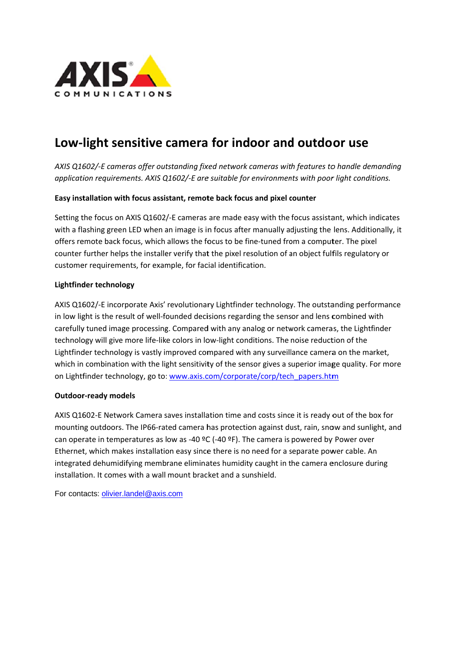

## Low-light sensitive camera for indoor and outdoor use

AXIS Q1602/-E cameras offer outstanding fixed network cameras with features to handle demanding application requirements. AXIS Q1602/-E are suitable for environments with poor light conditions.

## Easy installation with focus assistant, remote back focus and pixel counter

Setting the focus on AXIS Q1602/-E cameras are made easy with the focus assistant, which indicates with a flashing green LED when an image is in focus after manually adjusting the lens. Additionally, it offers remote back focus, which allows the focus to be fine-tuned from a computer. The pixel counter further helps the installer verify that the pixel resolution of an object fulfils regulatory or customer requirements, for example, for facial identification.

## Lightfinder technology

AXIS Q1602/-E incorporate Axis' revolutionary Lightfinder technology. The outstanding performance in low light is the result of well-founded decisions regarding the sensor and lens combined with carefully tuned image processing. Compared with any analog or network cameras, the Lightfinder technology will give more life-like colors in low-light conditions. The noise reduction of the Lightfinder technology is vastly improved compared with any surveillance camera on the market, which in combination with the light sensitivity of the sensor gives a superior image quality. For more on Lightfinder technology, go to: www.axis.com/corporate/corp/tech papers.htm

## **Outdoor-ready models**

AXIS Q1602-E Network Camera saves installation time and costs since it is ready out of the box for mounting outdoors. The IP66-rated camera has protection against dust, rain, snow and sunlight, and can operate in temperatures as low as -40 °C (-40 °F). The camera is powered by Power over Ethernet, which makes installation easy since there is no need for a separate power cable. An integrated dehumidifying membrane eliminates humidity caught in the camera enclosure during installation. It comes with a wall mount bracket and a sunshield.

For contacts: olivier.landel@axis.com